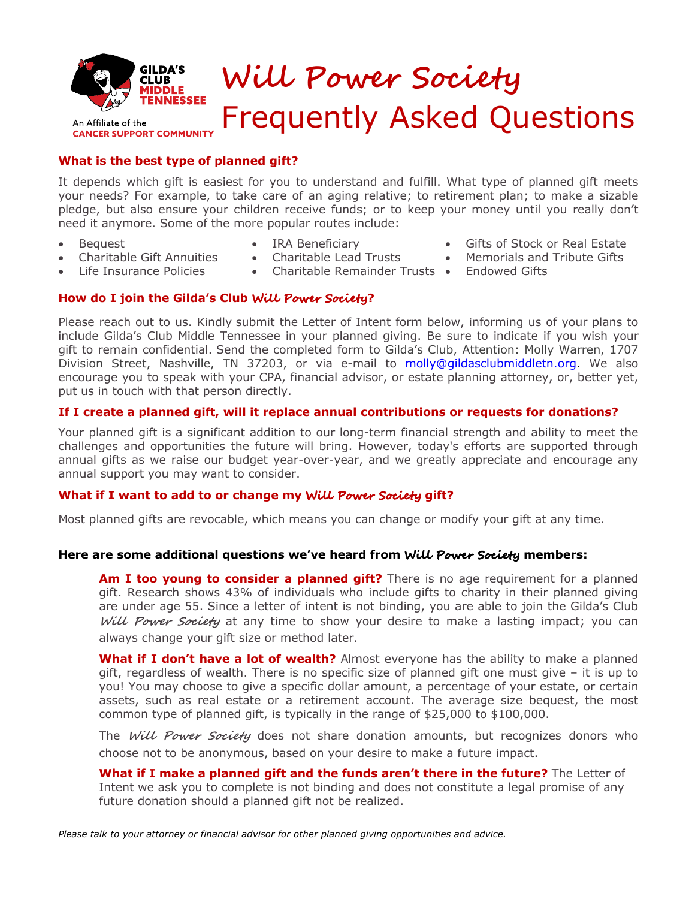

An Affiliate of the **CANCER SUPPORT COMMUNITY** 

# **Will Power Society** Frequently Asked Questions

#### **What is the best type of planned gift?**

It depends which gift is easiest for you to understand and fulfill. What type of planned gift meets your needs? For example, to take care of an aging relative; to retirement plan; to make a sizable pledge, but also ensure your children receive funds; or to keep your money until you really don't need it anymore. Some of the more popular routes include:

• Bequest

- IRA Beneficiary
- Gifts of Stock or Real Estate
- Charitable Gift Annuities
- 
- Memorials and Tribute Gifts
- 
- Life Insurance Policies
- Charitable Lead Trusts
- Charitable Remainder Trusts Endowed Gifts

#### **How do I join the Gilda's Club Will Power Society?**

Please reach out to us. Kindly submit the Letter of Intent form below, informing us of your plans to include Gilda's Club Middle Tennessee in your planned giving. Be sure to indicate if you wish your gift to remain confidential. Send the completed form to Gilda's Club, Attention: Molly Warren, 1707 Division Street, Nashville, TN 37203, or via e-mail to molly@gildasclubmiddletn.org. We also encourage you to speak with your CPA, financial advisor, or estate planning attorney, or, better yet, put us in touch with that person directly.

#### **If I create a planned gift, will it replace annual contributions or requests for donations?**

Your planned gift is a significant addition to our long-term financial strength and ability to meet the challenges and opportunities the future will bring. However, today's efforts are supported through annual gifts as we raise our budget year-over-year, and we greatly appreciate and encourage any annual support you may want to consider.

#### **What if I want to add to or change my Will Power Society gift?**

Most planned gifts are revocable, which means you can change or modify your gift at any time.

#### **Here are some additional questions we've heard from Will Power Society members:**

**Am I too young to consider a planned gift?** There is no age requirement for a planned gift. Research shows 43% of individuals who include gifts to charity in their planned giving are under age 55. Since a letter of intent is not binding, you are able to join the Gilda's Club **Will Power Society** at any time to show your desire to make a lasting impact; you can always change your gift size or method later.

**What if I don't have a lot of wealth?** Almost everyone has the ability to make a planned gift, regardless of wealth. There is no specific size of planned gift one must give – it is up to you! You may choose to give a specific dollar amount, a percentage of your estate, or certain assets, such as real estate or a retirement account. The average size bequest, the most common type of planned gift, is typically in the range of \$25,000 to \$100,000.

The **Will Power Society** does not share donation amounts, but recognizes donors who choose not to be anonymous, based on your desire to make a future impact.

**What if I make a planned gift and the funds aren't there in the future?** The Letter of Intent we ask you to complete is not binding and does not constitute a legal promise of any future donation should a planned gift not be realized.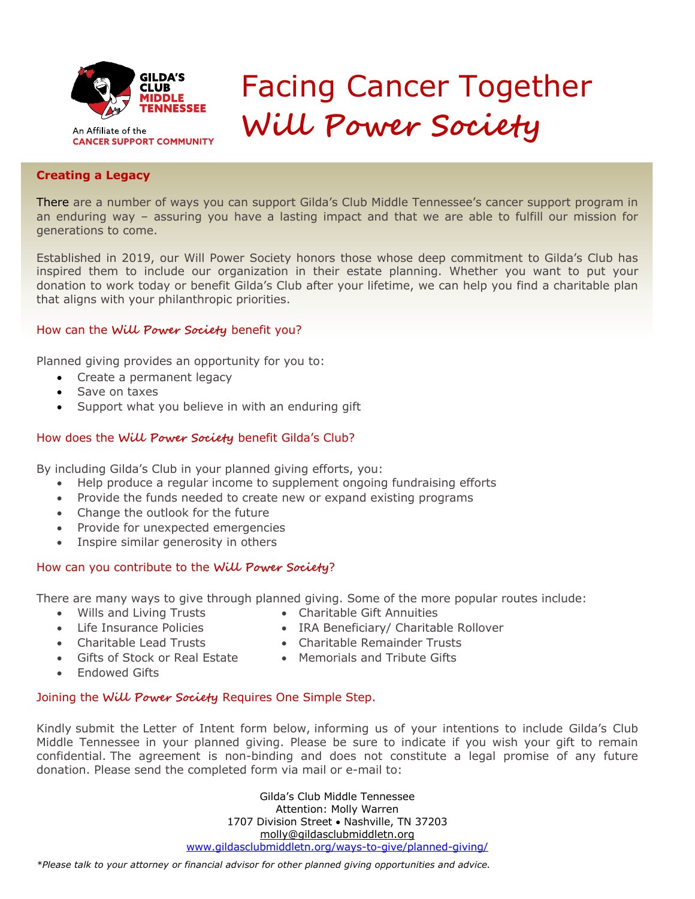

An Affiliate of the **CANCER SUPPORT COMMUNITY** 

## Facing Cancer Together **Will Power Society**

#### **Creating a Legacy**

an endaring way There are a number of ways you can support Gilda's Club Middle Tennessee's cancer support program in an enduring way – assuring you have a lasting impact and that we are able to fulfill our mission for

Established in 2019, our Will Power Society honors those whose deep commitment to Gilda's Club has inspired them to include our organization in their estate planning. Whether you want to put your donation to work today or benefit Gilda's Club after your lifetime, we can help you find a charitable plan that aligns with your philanthropic priorities.

#### How can the **Will Power Society** benefit you?

Planned giving provides an opportunity for you to:

- Create a permanent legacy
- Save on taxes
- Support what you believe in with an enduring gift

#### How does the **Will Power Society** benefit Gilda's Club?

By including Gilda's Club in your planned giving efforts, you:

- Help produce a regular income to supplement ongoing fundraising efforts
- Provide the funds needed to create new or expand existing programs
- Change the outlook for the future
- Provide for unexpected emergencies
- Inspire similar generosity in others

#### How can you contribute to the **Will Power Society**?

There are many ways to give through planned giving. Some of the more popular routes include:

- Wills and Living Trusts Charitable Gift Annuities
- Life Insurance Policies IRA Beneficiary/ Charitable Rollover
	-
- 
- Charitable Lead Trusts Charitable Remainder Trusts
- Gifts of Stock or Real Estate Memorials and Tribute Gifts
- Endowed Gifts

#### Joining the **Will Power Society** Requires One Simple Step.

Kindly submit the Letter of Intent form below, informing us of your intentions to include Gilda's Club Middle Tennessee in your planned giving. Please be sure to indicate if you wish your gift to remain confidential. The agreement is non-binding and does not constitute a legal promise of any future donation. Please send the completed form via mail or e-mail to:

> Gilda's Club Middle Tennessee Attention: Molly Warren 1707 Division Street • Nashville, TN 37203 molly@gildasclubmiddletn.org www.gildasclubmiddletn.org/ways-to-give/planned-giving/

*\*Please talk to your attorney or financial advisor for other planned giving opportunities and advice.*